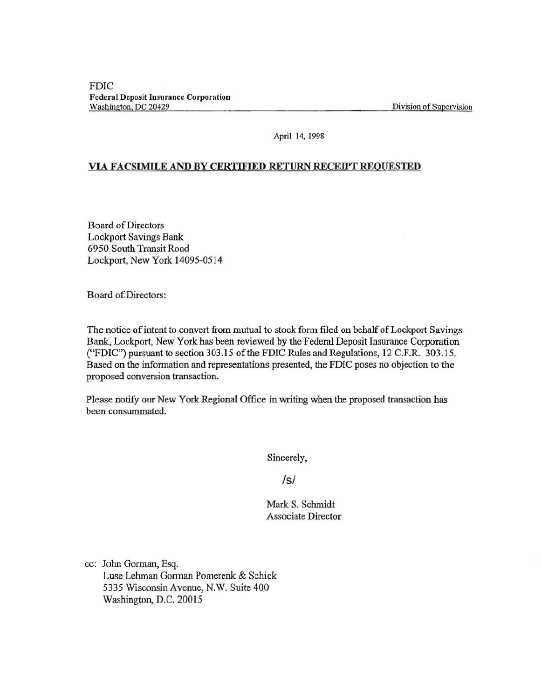FDIC Federal Deposit Insurance Corporation<br>Washington, DC 20429

Division of Supervision

## April 14, 1998

## VIA FACSIMILE AND BY CERTIFIED RETURN RECEIPT REQUESTED

Board of Directors Lockport Savings Bank 6950 South Transit Road Lockport, New York 14095-0514

Board of Directors:

The notice of intent to convert from mutual to stock form filed on behalf of Lockport Savings Bank, Lockport, New York has been reviewed by the Federal Deposit Insurance Corporation ("FDIC") pursuant to section 303.15 of the FDIC Rules and Regulations, 12 C.F.R. 303.15. Based on the information and representations presented, the FDIC poses no objection to the proposed conversion transaction.

Please notify our New York Regional Office in writing when the proposed transaction has been consummated.

Sincerely,

/s/

Mark S. Schmidt Associate Director

cc: John Gorman, Esq. Luse Lehman Gorman Pomerenk & Schick 5335 Wisconsin Avenue, N.W. Suite 400 Washington, D.C. 20015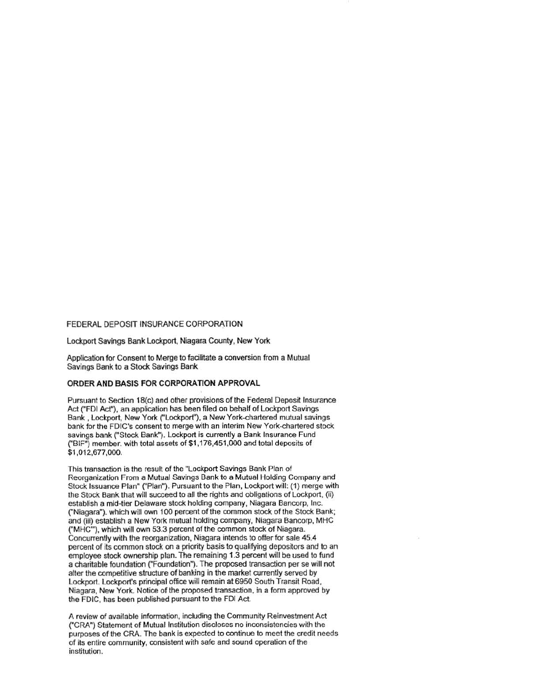## FEDERAL DEPOSIT INSURANCE CORPORATION

Lockport Savings Bank Lockport, Niagara County, New York

Application for Consent to Merge to facilitate a conversion from a Mutual Savings Bank to a Stock Savings Bank

## ORDER AND BASIS FOR CORPORATION APPROVAL

Pursuant to Section 18(c) and other provisions of the Federal Deposit Insurance Act ("FDI Act"), an application has been filed on behalf of Lockport Savings Bank, Lockport, New York ('Lockport'), a New York-chartered mutual savings bank for the FDIC's consent to merge with an interim New York-chartered stock savings bank ("Stock Bank"). Lockport is currently a Bank Insurance Fund C'BIF") member. with total assets of \$1,176,451 ,000 and total deposits of \$1,012,677,000.

This transaction is the result of the "Lockport Savings Bank Plan of Reorganization From a Mutual Savings Bank to a Mutual Holding Company and Stock Issuance Plan" ("Plan"). Pursuant to the Plan, Lockport will: (1) merge with the Stock Bank that will succeed to all the rights and obligations of Lockport, (ii) establish a mid-tier Delaware stock holding company, Niagara Bancorp, Inc. ("Niagara"). which will own 100 percent of the common stock of the Stock Bank; and (iii) establish a New York mutual holding company, Niagara Bancorp, MHC ("MHC"'), which will own 53.3 percent ofthe common stock of Niagara. Concurrently with the reorganization, Niagara intends to offer for sale 45.4 percent of its common stock on a priority basis to qualifying depositors and to an employee stock ownership plan. The remaining 1.3 percent will be used to fund a charitable foundation ("Foundation"). The proposed transaction per se will not alter the competitive structure of banking in the market currently served by Lockport. Lockport's principal office will remain at 6950 South Transit Road, Niagara, New York. Notice of the proposed transaction. in a form approved by the FDIC, has been published pursuant to the FDI Act.

A review of available information, including the Community Reinvestment Act ("CRA") Statement of Mutual Institution discloses no inconsistencies with the purposes of the CRA. The bank is expected to continue to meet the credit needs of its entire community, consistent with safe and sound operation of the institution.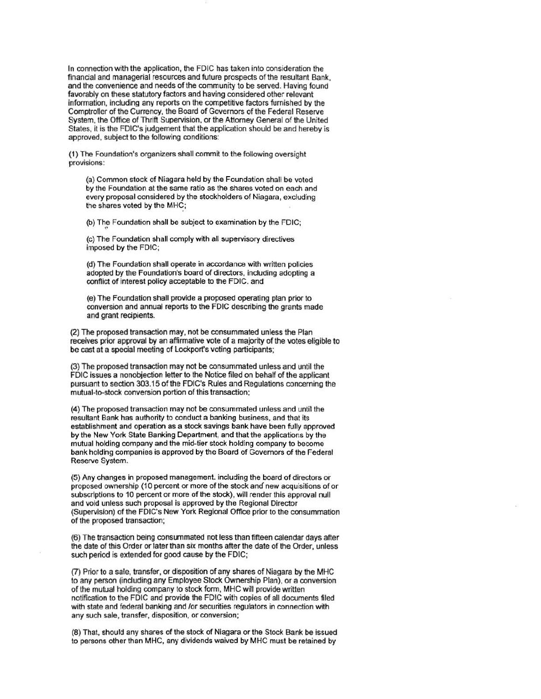In connection with the application, the FDIC has taken into consideration the finandal and managerial resources and future prospects of the resultant Bank, and the convenience and needs of the community to be served. Having found favorably on these statutory factors and having considered other relevant infonnation, including any reports on the competitive factors furnished by the Comptroller of the Currency, the Board of Governors of the Federal Reserve System, the Office of Thrift Supervision, or the Attorney General of the United States, it is the FDIC's judgement that the application should be and hereby is approved, subject to the following conditions:

(1) The Foundation's organizers shall commit to the following oversight provisions:

(a) Common stock of Niagara held by the Foundation shall be voted by the Foundation at the same ratio as the shares voted on each and every proposal considered by the stockholders of Niagara, excluding the shares voted by the MHC;

(b) The Foundation shall be subject to examination by the FDIC;

(c) The Foundation shall comply with all supervisory directives imposed by the FDIC;

(d) The Foundation shall operate in accordance with written policies adopted by the Foundation's board of directors. including adopting a conflict of interest policy acceptable to the FDIC. and

(e) The Foundation shall provide a proposed operating plan prior to conversion and annual reports to the FDIC describing the grants made and grant recipients.

(2) The proposed transaction may, not be consummated unless the Plan receives prior approval by an affinnative vote of a majority of the votes eligible to be cast at a special meeting of lockport's voting participants;

(3) The proposed transaction may not be consummated unless and until the FDIC issues a nonobjection letter to the Notice filed on behalf of the applicant pursuant to section 303.15 of the FDIC's Rules and Regulations concerning the mutual-to-stock conversion portion of this transaction;

(4) The proposed transaction may not be consummated unless and until the resultant Bank has authority to conduct a banking business, and that its establishment and operation as a stock savings bank have been fully approved by the New York State Banking Department, and that the applications by the mutual holding company and the mid-tier stock holding company to become bank holding companies is approved by the Board of Governors of the Federal Reserve System.

(5) Any changes in proposed management. including the board of directors or proposed ownership (10 percent or more of the stock and new acquisitions of or subscriptions to 10 percent or more of the stock), will render this approval null and void unless such proposal is approved by the Regional Director (Supervision) of the FDIC's New York Regional Office prior to the consummation of the proposed transaction;

(6) The transaction being consummated not less than fifteen calendar days after the date of this Order or later than six months after the date of the Order, unless such period is extended for good cause by the FDIC;

(7} Prior to a sale, transfer, or disposition of any shares of Niagara by the MHC to any person (including any Employee Stock Ownership Plan), or a conversion of the mutual holding company to stock form, MHC will provide written notification to the FDIC and provide the FDIC with copies of all documents filed with state and federal banking and /or securities regulators in connection with any such sale, transfer, disposition, or conversion;

(8) That, should any shares of the stock of Niagara or the Stock Bank be issued to persons other than MHC, any dividends waived by MHC must be retained by